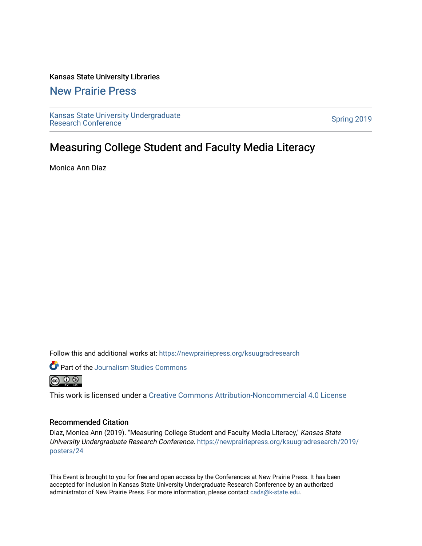## Kansas State University Libraries

## [New Prairie Press](https://newprairiepress.org/)

[Kansas State University Undergraduate](https://newprairiepress.org/ksuugradresearch)  Ransas State University Undergraduate<br>[Research Conference](https://newprairiepress.org/ksuugradresearch)

# Measuring College Student and Faculty Media Literacy

Monica Ann Diaz

Follow this and additional works at: [https://newprairiepress.org/ksuugradresearch](https://newprairiepress.org/ksuugradresearch?utm_source=newprairiepress.org%2Fksuugradresearch%2F2019%2Fposters%2F24&utm_medium=PDF&utm_campaign=PDFCoverPages) 





This work is licensed under a [Creative Commons Attribution-Noncommercial 4.0 License](https://creativecommons.org/licenses/by-nc/4.0/)

## Recommended Citation

Diaz, Monica Ann (2019). "Measuring College Student and Faculty Media Literacy," Kansas State University Undergraduate Research Conference. [https://newprairiepress.org/ksuugradresearch/2019/](https://newprairiepress.org/ksuugradresearch/2019/posters/24) [posters/24](https://newprairiepress.org/ksuugradresearch/2019/posters/24) 

This Event is brought to you for free and open access by the Conferences at New Prairie Press. It has been accepted for inclusion in Kansas State University Undergraduate Research Conference by an authorized administrator of New Prairie Press. For more information, please contact [cads@k-state.edu](mailto:cads@k-state.edu).